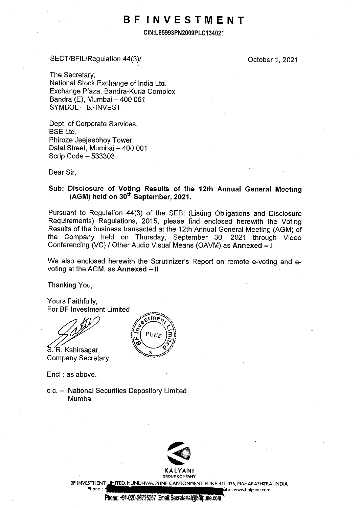# **BF INVESTMENT**

**CIN:L65993PN2009PLC134021** 

## SECT/BFIURegulation 44(3)/

October 1, 2021

The Secretary, National Stock Exchange of India Ltd. Exchange Plaza, Bandra-Kurla Complex Bandra (E), Mumbai  $-400051$ SYMBOL - BFINVEST

Dept. of Corporate Services, BSE Ltd. Phiroze Jeejeebhoy Tower Dalal Street, Mumbai - 400 001 Scrip Code - 533303

Dear Sir,

## **Sub: Disclosure of Voting Results of the 12th Annual General Meeting (AGM) held on 30th September, 2021.**

Pursuant to Regulation **44(3)** of the SEBI (Listing Obligations and Disclosure Requirements) Regulations, 2015, please find enclosed herewith the Voting Results of the business transacted at the 12th Annual General Meeting (AGM) of the Company held on Thursday, September 30, 2021 through Video Conferencing (VC) / Other Audio Visual Means (OAVM) as **Annexed** - I

We also enclosed herewith the Scrutinizer's Report on remote e-voting and evoting at the AGM, as **Annexed - II** 

Thanking You,

Yours Faithfully, For BF Investment Limited

S. R. Kshirsagar Company Secretary

Encl : as above.

c.c. - National Securities Depository Limited Mumbai





BF INVESTMENT LIMITED, MUNDHWA, PUNE CANTONMENT, PUNE 411 036, MAHARASHTRA, INDIA

Phone : <sup>1</sup> is the set of the set of the set of the set of the set of the set of the set of the set of the set of the set of the set of the set of the set of the set of the set of the set of the set of the set of the set o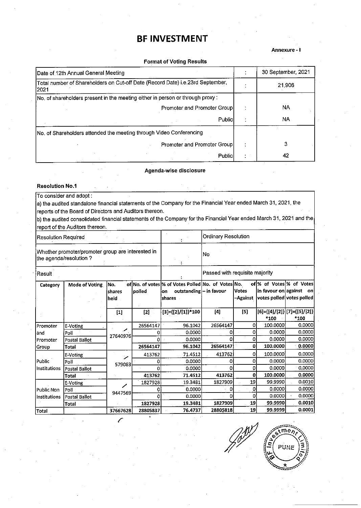## **BF INVESTMENT**

#### **Annexure-I**

#### Format of Voting Results

| Date of 12th Annual General Meeting                                                     | 30 September, 2021 |
|-----------------------------------------------------------------------------------------|--------------------|
| Total number of Shareholders on Cut-off Date (Record Date) i.e.23rd September,<br>12021 | 21.906             |
| No. of shareholders present in the meeting either in person or through proxy:           |                    |
| Promoter and Promoter Group                                                             | NA                 |
| Public                                                                                  | NA.                |
| No. of Shareholders attended the meeting through Video Conferencing                     |                    |
| Promoter and Promoter Group                                                             |                    |
| Public                                                                                  | 42                 |

Agenda-wise disclosure

#### Resolution **No.1**

To consider and adopt :

a) the audited standalone financial statements of the Company for the Financial Year ended March 31, 2021, the reports of the Board of Directors and Auditors thereon.

b) the audited consolidated financial statements of the Company for the Financial Year ended March 31, 2021 and the report of the Auditors thereon.

| Resolution Required                                                         |                      |                       |          |                                                                                               | Ordinary Resolution |                          |                                                   |                                     |
|-----------------------------------------------------------------------------|----------------------|-----------------------|----------|-----------------------------------------------------------------------------------------------|---------------------|--------------------------|---------------------------------------------------|-------------------------------------|
| Whether promoter/promoter group are interested in<br>the agenda/resolution? |                      |                       |          | No                                                                                            |                     |                          |                                                   |                                     |
| Result                                                                      |                      |                       |          | Passed with requisite majority                                                                |                     |                          |                                                   |                                     |
| Category                                                                    | Mode of Voting       | No.<br>shares<br>held | polled   | of No. of votes % of Votes Polled No. of Votes No.<br>outstanding - in favour<br>on<br>shares |                     | <b>Votes</b><br>–Against | in favour on against<br>votes polled votes polled | of % of Votes % of Votes<br>– on'   |
|                                                                             |                      | $[1]$                 | $[2]$    | $[3] = \{ [2] / [1] \} * 100$                                                                 | [4]                 | $[5]$                    | *100                                              | [6]={[4]/[2]} [7]={[5]/[2]}<br>*100 |
| Promoter                                                                    | E-Voting             |                       | 26564147 | 96.1042                                                                                       | 26564147            | ٥I                       | 100,0000                                          | 0.0000                              |
| land                                                                        | Poll                 | ╱<br>27640976         | o        | 0.0000                                                                                        |                     | 0                        | 0.0000                                            | 0.0000                              |
| Promoter                                                                    | <b>Postal Ballot</b> |                       |          | 0.0000                                                                                        | 0                   | 0                        | 0.0000                                            | 0.0000                              |
| Group                                                                       | Total                |                       | 26564147 | 96.1042                                                                                       | 26564147            | ٥I                       | 100.0000                                          | 0.0000                              |
|                                                                             | E-Voting             | ╱                     | 413762   | 71.4512                                                                                       | 413762              | 0                        | 100,0000                                          | 0.0000                              |
| Public                                                                      | Poll                 | 579083                | o        | 0.0000                                                                                        | O                   | 0                        | 0.0000                                            | 0.0000                              |
| Institutions                                                                | Postal Ballot        |                       |          | 0.0000                                                                                        | 0                   | 0                        | 0.0000                                            | 0.0000                              |
|                                                                             | <b>Total</b>         |                       | 413762   | 71.4512                                                                                       | 413762              | $\Omega$                 | 100.0000                                          | 0.0000                              |
|                                                                             | E-Voting             | ╱                     | 1827928  | 19.3481                                                                                       | 1827909             | 19                       | 99.9990                                           | 0.0010                              |
| lPublic Non                                                                 | Poll                 | 9447569               |          | 0.0000                                                                                        | 0                   | 0                        | 0.0000                                            | 0.0000                              |
| Institutions                                                                | Postal Ballot        |                       |          | 0.0000                                                                                        | n                   | ٥                        | 0.0000                                            | 0.0000                              |
|                                                                             | <b>Total</b>         |                       | 1827928  | 19.3481                                                                                       | 1827909             | 19                       | 99.9990                                           | 0.0010                              |
| Total                                                                       |                      | 37667628              | 28805837 | 76.4737                                                                                       | 28805818            | 19                       | 99.9999                                           | 0.0001                              |

 $me$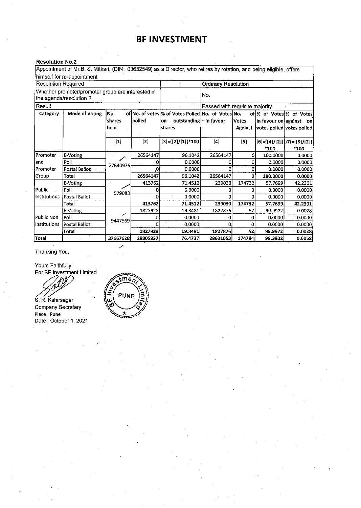# **BF INVESTMENT**

## **Resolution No.2**

|                                                                             | Appointment of Mr.B. S. Mitkari, (DIN: 03632549) as a Director, who retires by rotation, and being eligible, offers |                       |          |                                                                                                |                                |                          |          |                                                                                  |  |
|-----------------------------------------------------------------------------|---------------------------------------------------------------------------------------------------------------------|-----------------------|----------|------------------------------------------------------------------------------------------------|--------------------------------|--------------------------|----------|----------------------------------------------------------------------------------|--|
|                                                                             | himself for re-appointment                                                                                          |                       |          |                                                                                                |                                |                          |          |                                                                                  |  |
| <b>Resolution Required</b>                                                  |                                                                                                                     |                       |          |                                                                                                |                                | Ordinary Resolution      |          |                                                                                  |  |
| Whether promoter/promoter group are interested in<br>the agenda/resolution? |                                                                                                                     |                       |          |                                                                                                | No.                            |                          |          |                                                                                  |  |
| Result                                                                      |                                                                                                                     |                       |          |                                                                                                | Passed with requisite majority |                          |          |                                                                                  |  |
| Category<br>Mode of Voting                                                  |                                                                                                                     | No.<br>shares<br>held | polled   | of No. of votes % of Votes Polled No. of Votes No.<br>outstanding-in favour<br>lon.<br> shares |                                | <b>Votes</b><br>-Against |          | of % of Votes % of Votes<br>in favour on against on<br>votes polled votes polled |  |
|                                                                             |                                                                                                                     | $\mathbf{[1]}$        | $[2]$    | $[3] = \{ [2] / [1] \}$ *100                                                                   | [4]                            | $[5]$                    | $*100$   | [6]={[4]/[2]} [7]={[5]/[2]} <br>*100                                             |  |
| Promoter                                                                    | E-Voting                                                                                                            | ╱                     | 26564147 | 96.1042                                                                                        | 26564147                       | 0                        | 100.0000 | 0.0000                                                                           |  |
| land                                                                        | Poll                                                                                                                | 27640976              |          | 0.0000                                                                                         |                                |                          | 0.0000   | 0.0000                                                                           |  |
| Promoter                                                                    | Postal Ballot                                                                                                       |                       |          | 0.0000                                                                                         |                                |                          | 0.0000   | 0.0000                                                                           |  |
| Group                                                                       | Total                                                                                                               |                       | 26564147 | 96.1042                                                                                        | 26564147                       | 0                        | 100.0000 | 0.0000                                                                           |  |
|                                                                             | E-Voting                                                                                                            |                       | 413762   | 71.4512                                                                                        | 239030                         | 174732                   | 57.7699  | 42.2301                                                                          |  |
| Public                                                                      | Poll                                                                                                                | 579083                | O        | 0.0000                                                                                         | O                              | o                        | 0.0000   | 0.0000                                                                           |  |
| Institutions                                                                | Postal Ballot                                                                                                       |                       | O        | 0.0000                                                                                         |                                | ΩI                       | 0.0000   | 0.0000                                                                           |  |
|                                                                             | Total                                                                                                               |                       | 413762   | 71.4512                                                                                        | 239030                         | 174732                   | 57.7699  | 42.2301                                                                          |  |
|                                                                             | E-Voting                                                                                                            | ╱                     | 1827928  | 19.3481                                                                                        | 1827876                        | 52                       | 99.9972  | 0.0028                                                                           |  |
| lPublic Non                                                                 | Poll                                                                                                                | 9447569               | 0        | 0.0000                                                                                         | 0                              | 0                        | 0.0000   | 0.0000                                                                           |  |
| Institutions                                                                | <b>Postal Ballot</b>                                                                                                |                       | n        | 0.0000                                                                                         | Ω                              |                          | 0.0000   | 0.0000                                                                           |  |
|                                                                             | Total                                                                                                               |                       | 1827928  | 19.3481                                                                                        | 1827876                        | 52                       | 99.9972  | 0.0028                                                                           |  |
| Total                                                                       |                                                                                                                     | 37667628              | 28805837 | 76.4737                                                                                        | 28631053                       | 174784                   | 99.3932  | 0.6068                                                                           |  |

Thanking You,

Yours Faithfully, For BF Investment Limited

 $\mathscr{N}$ 

5. R. Kshirsagar Company Secretary **Place: Pune**  Date: October 1, 2021

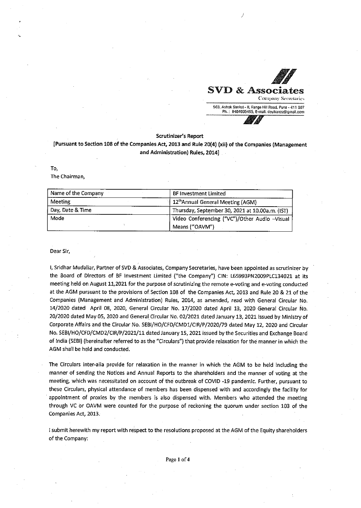

#### **Scrutinizer's Report**

## **[Pursuant to Section 108 of the Companies Act, 2013 and Rule 20(4) (xii) of the Companies (Management and Administration) Rules, 2014]**

#### To,

The Chairman,

| Name of the Company | <b>BF Investment Limited</b>                    |
|---------------------|-------------------------------------------------|
| Meeting             | 12 <sup>th</sup> Annual General Meeting (AGM)   |
| Day, Date & Time    | Thursday, September 30, 2021 at 10.00a.m. (IST) |
| Mode                | Video Conferencing ("VC")/Other Audio -Visual   |
|                     | Means ("OAVM")                                  |

**Dear Sir,** 

I, Sridhar Mudaliar, Partner of SVD & Associates, Company Secretaries, have been appointed as scrutinizer by the Board of Directors of BF Investment Limited ("the Company'') CIN: L65993PN2009PLC134021 at its meeting held on August 11,2021 for the purpose of scrutinizing the remote e-voting and e-voting conducted at the AGM pursuant to the provisions of,Section 108 of the Companies Act, 2013 and Rule 20 & 21 of the Companies (Management and Administration) Rules, 2014, as amended, read with General Circular No. 14/2020 dated April 08, 2020, General Circular No. 17/2020 dated April 13, 2020 General Circular No. 20/2020 dated May 05, 2020 and General Circular No. 02/2021 dated January 13, 2021 issued by Ministry of Corporate Affairs and the Circular No. SEBI/HO/CFD/CMDl/CIR/P/2020/79 dated May 12, 2020 and Circular No. SEBI/HO/CFD/CMD2/CIR/P/2021/11 dated January 15, 2021 issued by the Securities and Exchange Board of India {SEBI) (hereinafter referred to as the "Circulars") that provide relaxation for the manner in which the AGM shall be held and conducted.

The Circulars inter-alia provide for relaxation in the manner in which the AGM to be held including the manner of sending the Notices and Annual Reports to the shareholders and the manner of voting at the meeting, which was necessitated on account of the outbreak of COVID -19 pandemic. Further, pursuant to these Circulars, physical attendance of members has been dispensed with and accordingly the facility for appointment of proxies by the members is also dispensed with. Members who attended the meeting through VC or OAVM were counted for the purpose of reckoning the quorum under section 103 of the Companies Act, 2013.

I submit herewith my report with respect to the resolutions proposed at the AGM of the Equity shareholders of the Company: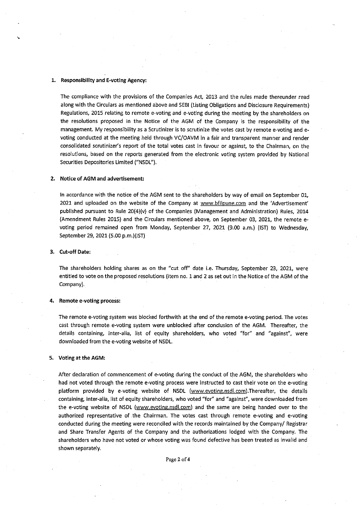#### 1. **Responsibility and E-voting Agency:**

The compliance with the provisions of the Companies Act, 2013 and the rules made thereunder read along with the Circulars as mentioned above and SEBI (Listing Obligations and Disclosure Requirements) Regulations, 2015 relating to remote e-voting and e-voting during the meeting by the shareholders on the resolutions proposed in the Notice of the AGM of the Company is the responsibility of the management. My responsibility as a Scrutinizer is to scrutinize the votes cast by remote e-voting and evoting conducted at the meeting held through VC/OAVM in a fair and transparent manner and render consolidated scrutinizer's report of the total votes cast in favour or against, to the Chairman, on the resolutions, based on the reports generated from the electronic voting system provided by National Securities Depositories Limited ("NSDL").

#### 2. Notice of AGM and advertisement:

In accordance with the notice of the AGM sent to the shareholders by way of email on September 01, 2021 and uploaded on the website of the Company at www.bfilpune.com and the 'Advertisement' published pursuant to Rule 20(4)(v) of the Companies (Management and Administration) Rules, 2014 (Amendment Rules 2015) and the Circulars mentioned above, on September 03, 2021, the remote evoting period remained open from Monday, September 27, 2021 (9.00 a.m.) (1ST) to Wednesday, September 29, 2021 (5.00 p.m.)(IST)

#### **3. Cut-off Date:**

The shareholders holding shares as on the "cut off" date i.e. Thursday, September 23, 2021, were entitled to vote on the proposed resolutions (item no. 1 and 2 as set out in the Notice of the AGM of the Company).

#### 4. Remote e-voting process:

The remote e-voting system was blocked forthwith at the end of the remote e-voting period. The votes cast through remote e-voting system were unblocked after conclusion of the AGM. Thereafter, the details containing, inter-alia, list of equity shareholders, who voted "for" and "against", were downloaded from the e-voting website of NSDL.

#### **5. Voting at the AGM:**

After declaration of commencement of e-voting during the conduct of the AGM, the shareholders who had not voted through the remote e-voting process were instructed to cast their vote on the e-voting platform provided by e-voting website of NSDL (www.evoting.nsdl.com).Thereafter, the details **containing, inter-alia, list of equity shareholders, who voted "for" and "against'', were downloaded from**  the e-voting website of NSDL (www.evoting.nsdl.com) and the same are being handed over to the authorized representative of the Chairman. The votes cast through remote e-voting and e-voting conducted during the meeting were reconciled with the records maintained by the Company/ Registrar and Share Transfer Agents of the Company and the authorizations lodged with the Company. The shareholders who have not voted or whose voting was found defective has been treated as invalid and shown separately.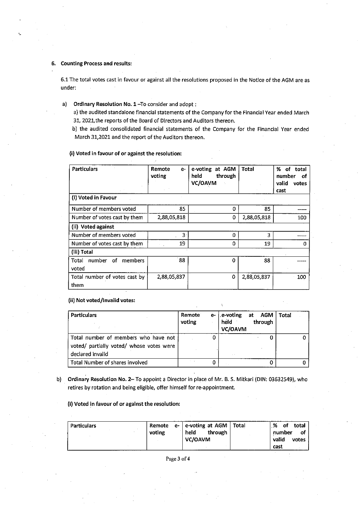#### 6. Counting Process and results:

6.1 The total votes cast in favour or against all the resolutions proposed in the Notice of the AGM are as under:

### a) Ordinary Resolution No. 1-To consider and adopt:

a) the audited standalone financial statements of the Company for the Financial Year ended March 31, 2021,the reports of the Board of Directors and Auditors thereon.

b) the audited consolidated financial statements of the Company for the Financial Year ended March 31,2021 and the report of the Auditors thereon.

#### (i) **Voted** in **favour of or against the resolution:**

| <b>Particulars</b>               | Remote<br>e-<br>voting | e-voting<br>at AGM<br>held<br>through<br>VC/OAVM | <b>Total</b> | %<br>of total<br>number<br>of<br>valid<br>votes<br>cast |
|----------------------------------|------------------------|--------------------------------------------------|--------------|---------------------------------------------------------|
| (i) Voted in Favour              |                        |                                                  |              |                                                         |
| Number of members voted          | 85                     | Ω                                                | 85           | -----                                                   |
| Number of votes cast by them     | 2,88,05,818            | 0                                                | 2,88,05,818  | 100                                                     |
| (ii) Voted against               |                        |                                                  |              |                                                         |
| Number of members voted          | з.                     | 0                                                | 3            |                                                         |
| Number of votes cast by them     | 19                     | 0                                                | 19           | 0                                                       |
| (iii) Total                      |                        |                                                  |              |                                                         |
| members<br>number<br>of<br>Total | 88                     | 0                                                | 88           |                                                         |
| voted                            |                        |                                                  |              |                                                         |
| Total number of votes cast by    | 2,88,05,837            | 0                                                | 2,88,05,837  | 100                                                     |
| them                             |                        |                                                  |              |                                                         |

(ii) **Not voted/Invalid votes:** 

| <b>Particulars</b>                                                                                   | Remote <sup>®</sup><br>voting | e- $ $ .e-voting at AGM<br>held<br>VC/OAVM | through | Total |
|------------------------------------------------------------------------------------------------------|-------------------------------|--------------------------------------------|---------|-------|
| Total number of members who have not<br>voted/ partially voted/ whose votes were<br>declared invalid |                               |                                            |         |       |
| Total Number of shares involved                                                                      |                               |                                            |         |       |

b) Ordinary Resolution No. 2- To appoint a Director in place of Mr. B. S. Mitkari (DIN: 03632549), who retires by rotation and being eligible, offer himself for re-appointment.

(i) **Voted in favour of or against the resolution:** 

| <b>Particulars</b> | voting |  | Remote e- e-voting at AGM   Total<br>held<br>through<br>VC/OAVM |  | %<br>total<br>of.<br>number<br>valid<br>votes<br>cast | ٥f |
|--------------------|--------|--|-----------------------------------------------------------------|--|-------------------------------------------------------|----|
|--------------------|--------|--|-----------------------------------------------------------------|--|-------------------------------------------------------|----|